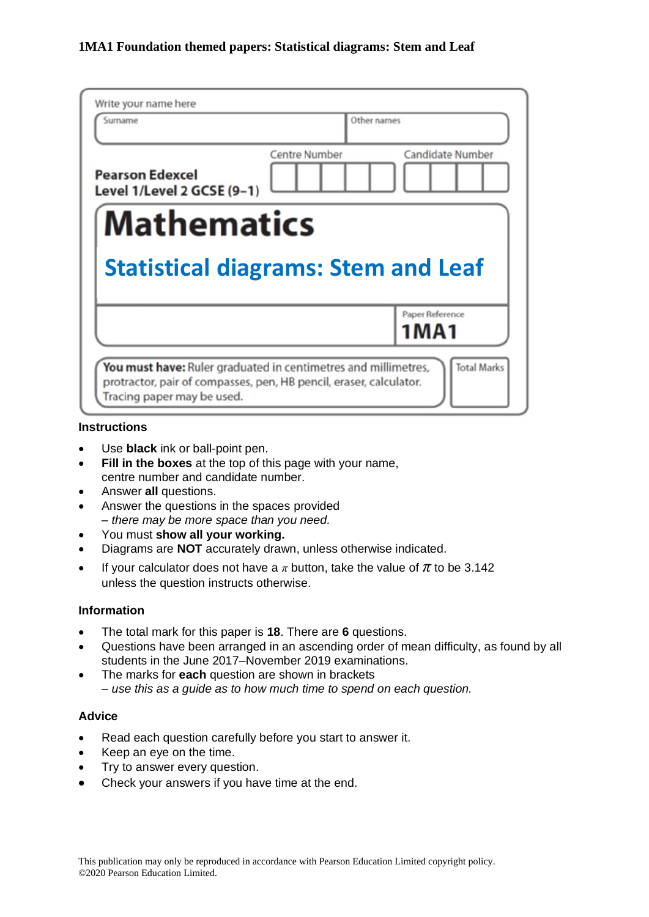| Surname                                              | Other names          |                            |
|------------------------------------------------------|----------------------|----------------------------|
| <b>Pearson Edexcel</b><br>Level 1/Level 2 GCSE (9-1) | <b>Centre Number</b> | Candidate Number           |
| <b>Mathematics</b>                                   |                      |                            |
|                                                      |                      |                            |
|                                                      |                      |                            |
| <b>Statistical diagrams: Stem and Leaf</b>           |                      |                            |
|                                                      |                      | Paper Reference            |
|                                                      |                      | 1MA1<br><b>Total Marks</b> |

#### **Instructions**

- Use **black** ink or ball-point pen.
- **Fill in the boxes** at the top of this page with your name, centre number and candidate number.
- Answer **all** questions.
- Answer the questions in the spaces provided *– there may be more space than you need.*
- You must **show all your working.**
- Diagrams are **NOT** accurately drawn, unless otherwise indicated.
- If your calculator does not have a  $\pi$  button, take the value of  $\pi$  to be 3.142 unless the question instructs otherwise.

#### **Information**

- The total mark for this paper is **18**. There are **6** questions.
- Questions have been arranged in an ascending order of mean difficulty, as found by all students in the June 2017–November 2019 examinations.
- The marks for **each** question are shown in brackets *– use this as a guide as to how much time to spend on each question.*

## **Advice**

- Read each question carefully before you start to answer it.
- Keep an eye on the time.
- Try to answer every question.
- Check your answers if you have time at the end.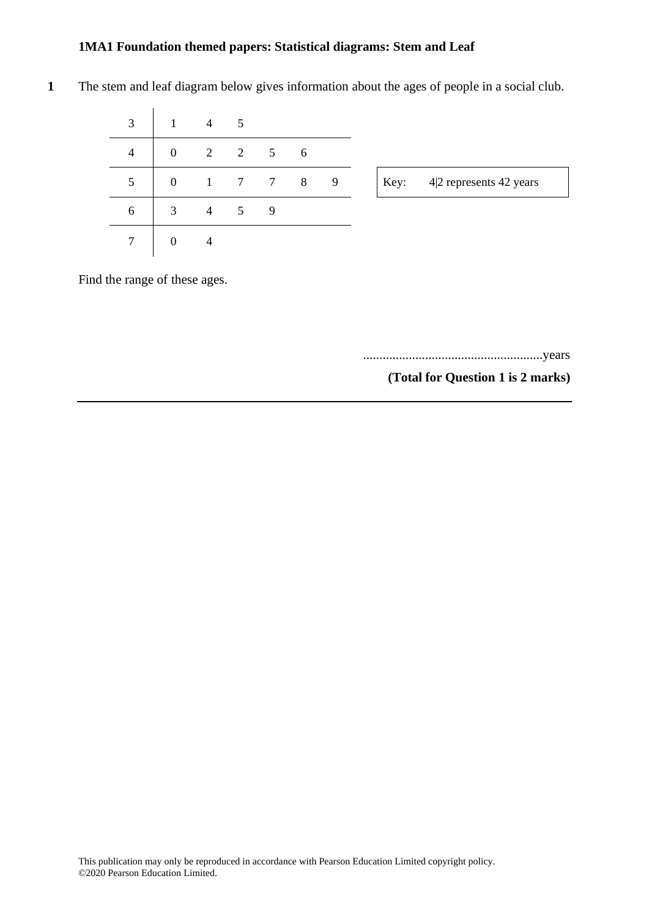| 3               | $\overline{1}$   | $\overline{4}$ | 5 |                     |  |
|-----------------|------------------|----------------|---|---------------------|--|
| $\overline{4}$  | $\boldsymbol{0}$ | 2              |   | $2 \quad 5 \quad 6$ |  |
| 5               | $\mathbf{0}$     | $\mathbf{1}$   |   | 7 7 8 9             |  |
| 6               | 3                | $\overline{4}$ | 5 | 9                   |  |
| $7\phantom{.0}$ | $\mathbf{0}$     | $\overline{4}$ |   |                     |  |

**1** The stem and leaf diagram below gives information about the ages of people in a social club.

Find the range of these ages.

.......................................................years

**(Total for Question 1 is 2 marks)**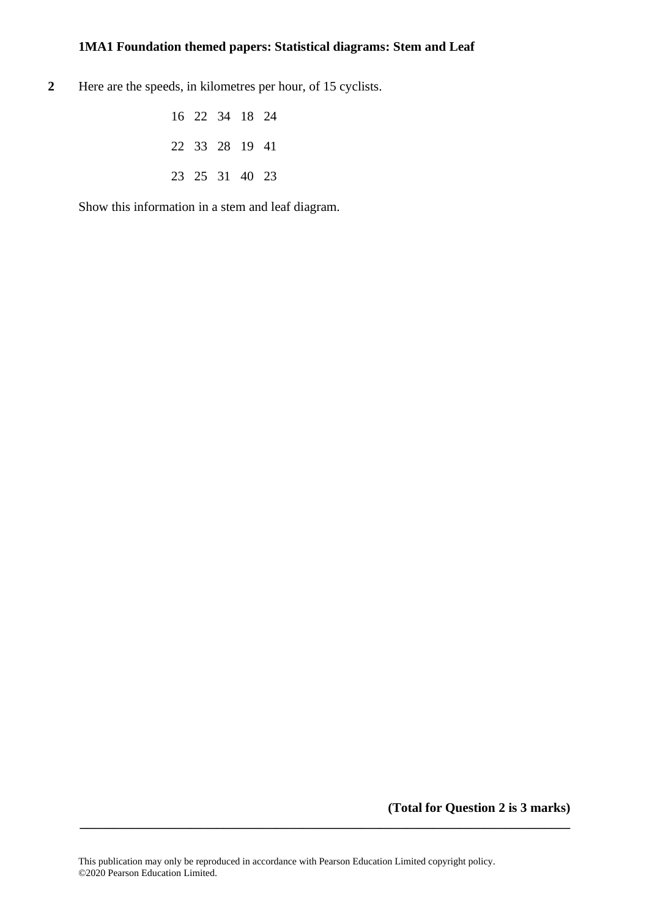**2** Here are the speeds, in kilometres per hour, of 15 cyclists.

| 16 22 34 18 24 |  |  |
|----------------|--|--|
| 22 33 28 19 41 |  |  |
| 23 25 31 40 23 |  |  |

Show this information in a stem and leaf diagram.

**(Total for Question 2 is 3 marks)** 

**\_\_\_\_\_\_\_\_\_\_\_\_\_\_\_\_\_\_\_\_\_\_\_\_\_\_\_\_\_\_\_\_\_\_\_\_\_\_\_\_\_\_\_\_\_\_\_\_\_\_\_\_\_\_\_\_\_\_\_\_\_\_\_\_\_\_\_\_\_\_\_\_\_\_\_**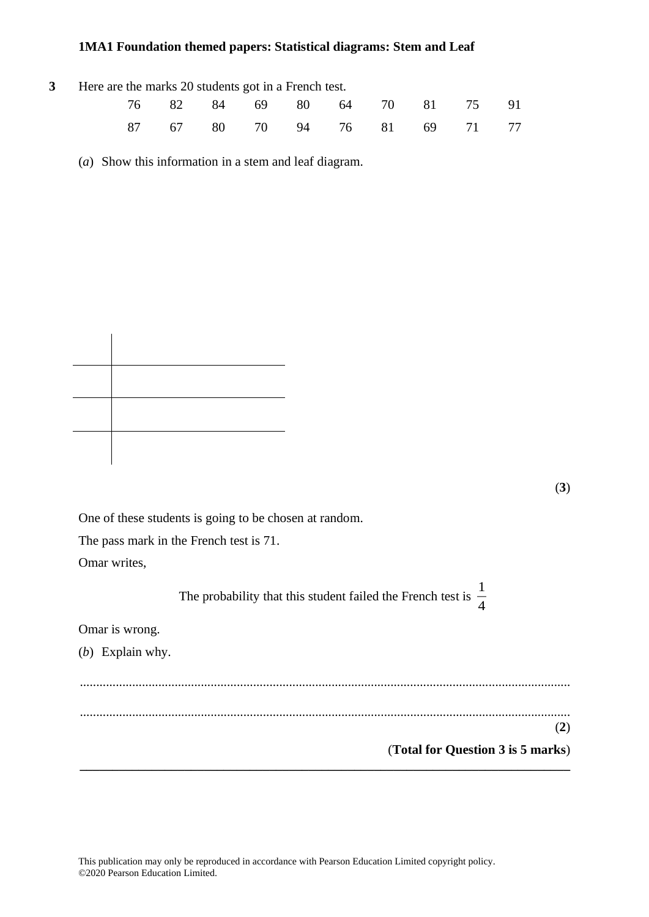| 3 Here are the marks 20 students got in a French test. |  |                               |  |  |  |  |  |  |  |  |
|--------------------------------------------------------|--|-------------------------------|--|--|--|--|--|--|--|--|
|                                                        |  | 76 82 84 69 80 64 70 81 75 91 |  |  |  |  |  |  |  |  |
|                                                        |  | 87 67 80 70 94 76 81 69 71 77 |  |  |  |  |  |  |  |  |

(*a*) Show this information in a stem and leaf diagram.

(**3**)

One of these students is going to be chosen at random. The pass mark in the French test is 71.

Omar writes,

The probability that this student failed the French test is  $\frac{1}{4}$ 4 Omar is wrong.

(*b*) Explain why.

...................................................................................................................................................... ...................................................................................................................................................... (**2**) (**Total for Question 3 is 5 marks**) **\_\_\_\_\_\_\_\_\_\_\_\_\_\_\_\_\_\_\_\_\_\_\_\_\_\_\_\_\_\_\_\_\_\_\_\_\_\_\_\_\_\_\_\_\_\_\_\_\_\_\_\_\_\_\_\_\_\_\_\_\_\_\_\_\_\_\_\_\_\_\_\_\_\_\_**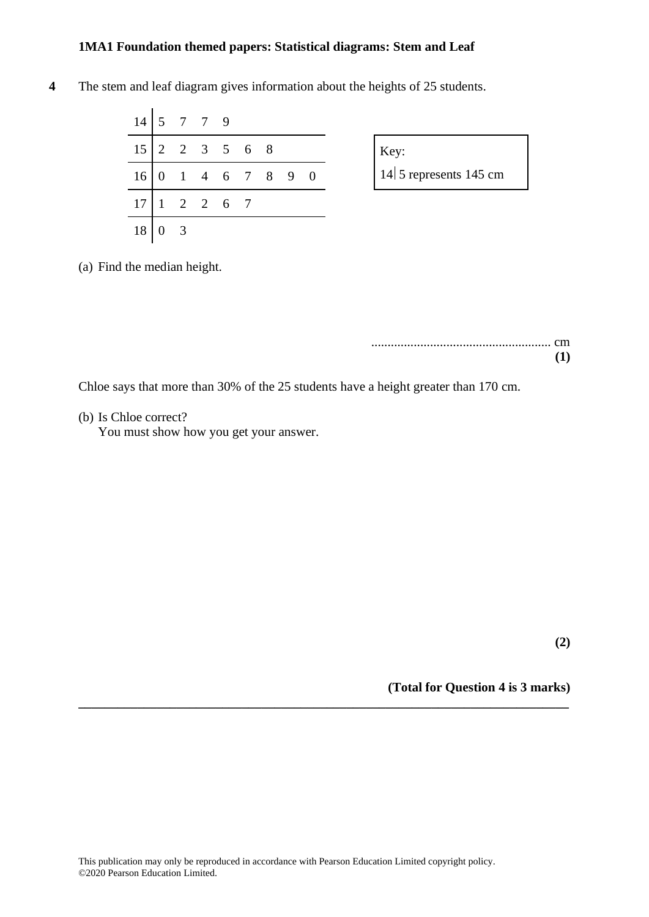**4** The stem and leaf diagram gives information about the heights of 25 students.

|                 |                | $14 \mid 5 \mid 7 \mid 7 \mid 9$ |                     |               |  |  |
|-----------------|----------------|----------------------------------|---------------------|---------------|--|--|
| 15 <sup>1</sup> |                |                                  |                     | 2 2 3 5 6 8   |  |  |
| 16              | $\overline{0}$ |                                  |                     | 1 4 6 7 8 9 0 |  |  |
|                 |                |                                  | $1 \t2 \t2 \t6 \t7$ |               |  |  |
| 18              |                |                                  |                     |               |  |  |

| Key: |                            |  |
|------|----------------------------|--|
|      | $ 14 $ 5 represents 145 cm |  |

(a) Find the median height.

....................................................... cm **(1)**

Chloe says that more than 30% of the 25 students have a height greater than 170 cm.

(b) Is Chloe correct?

You must show how you get your answer.

**(2)**

**(Total for Question 4 is 3 marks)**

**\_\_\_\_\_\_\_\_\_\_\_\_\_\_\_\_\_\_\_\_\_\_\_\_\_\_\_\_\_\_\_\_\_\_\_\_\_\_\_\_\_\_\_\_\_\_\_\_\_\_\_\_\_\_\_\_\_\_\_\_\_\_\_\_\_\_\_\_\_\_\_\_\_\_\_**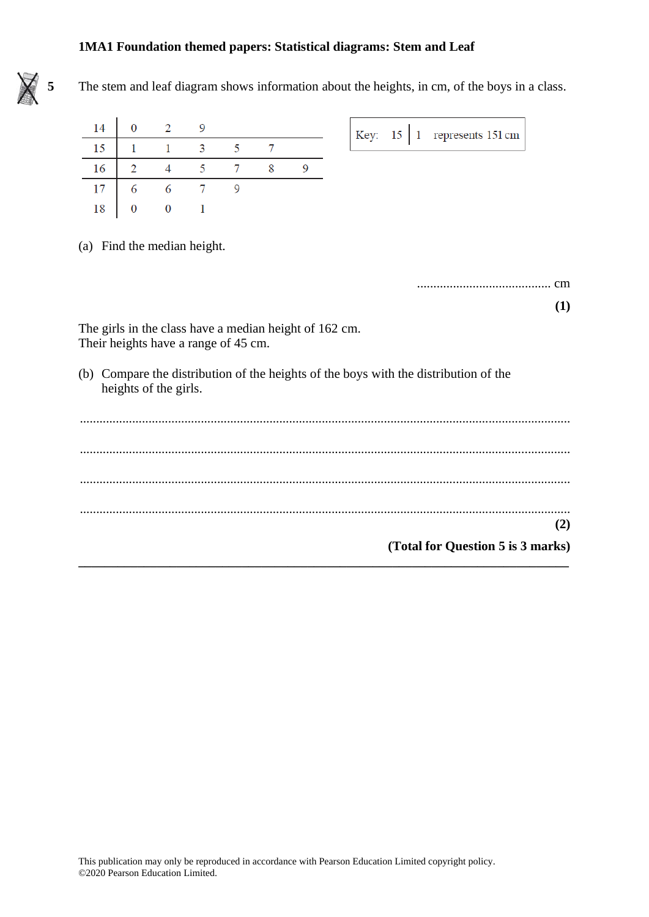

**5** The stem and leaf diagram shows information about the heights, in cm, of the boys in a class.

| 14 | $0 \t 2 \t 9$                            |                     |  |  |  | Key: $15 \mid 1$ represents 151 cm |
|----|------------------------------------------|---------------------|--|--|--|------------------------------------|
| 15 |                                          | $1 \quad 3 \quad 5$ |  |  |  |                                    |
|    |                                          |                     |  |  |  |                                    |
|    |                                          |                     |  |  |  |                                    |
| 18 | $\begin{array}{ccc} & 0 & 1 \end{array}$ |                     |  |  |  |                                    |

(a) Find the median height.

......................................... cm

**(1)**

The girls in the class have a median height of 162 cm. Their heights have a range of 45 cm.

(b) Compare the distribution of the heights of the boys with the distribution of the heights of the girls.

|  |                                   | $\mathbf{2}$ |
|--|-----------------------------------|--------------|
|  | (Total for Question 5 is 3 marks) |              |